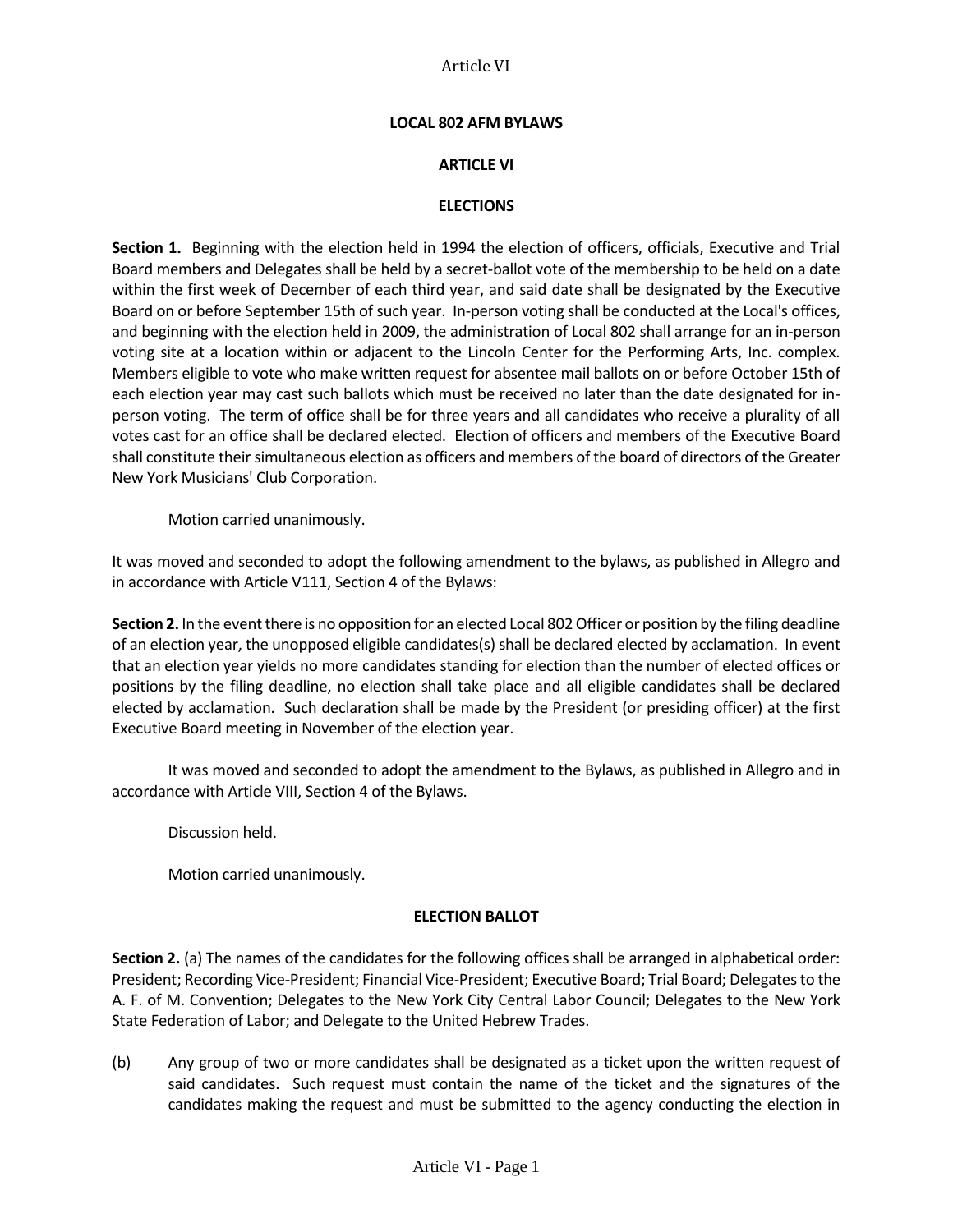### **LOCAL 802 AFM BYLAWS**

#### **ARTICLE VI**

#### **ELECTIONS**

**Section 1.** Beginning with the election held in 1994 the election of officers, officials, Executive and Trial Board members and Delegates shall be held by a secret-ballot vote of the membership to be held on a date within the first week of December of each third year, and said date shall be designated by the Executive Board on or before September 15th of such year. In-person voting shall be conducted at the Local's offices, and beginning with the election held in 2009, the administration of Local 802 shall arrange for an in-person voting site at a location within or adjacent to the Lincoln Center for the Performing Arts, Inc. complex. Members eligible to vote who make written request for absentee mail ballots on or before October 15th of each election year may cast such ballots which must be received no later than the date designated for inperson voting. The term of office shall be for three years and all candidates who receive a plurality of all votes cast for an office shall be declared elected. Election of officers and members of the Executive Board shall constitute their simultaneous election as officers and members of the board of directors of the Greater New York Musicians' Club Corporation.

Motion carried unanimously.

It was moved and seconded to adopt the following amendment to the bylaws, as published in Allegro and in accordance with Article V111, Section 4 of the Bylaws:

**Section 2.** In the event there is no opposition for an elected Local 802 Officer or position by the filing deadline of an election year, the unopposed eligible candidates(s) shall be declared elected by acclamation. In event that an election year yields no more candidates standing for election than the number of elected offices or positions by the filing deadline, no election shall take place and all eligible candidates shall be declared elected by acclamation. Such declaration shall be made by the President (or presiding officer) at the first Executive Board meeting in November of the election year.

It was moved and seconded to adopt the amendment to the Bylaws, as published in Allegro and in accordance with Article VIII, Section 4 of the Bylaws.

Discussion held.

Motion carried unanimously.

#### **ELECTION BALLOT**

**Section 2.** (a) The names of the candidates for the following offices shall be arranged in alphabetical order: President; Recording Vice-President; Financial Vice-President; Executive Board; Trial Board; Delegates to the A. F. of M. Convention; Delegates to the New York City Central Labor Council; Delegates to the New York State Federation of Labor; and Delegate to the United Hebrew Trades.

(b) Any group of two or more candidates shall be designated as a ticket upon the written request of said candidates. Such request must contain the name of the ticket and the signatures of the candidates making the request and must be submitted to the agency conducting the election in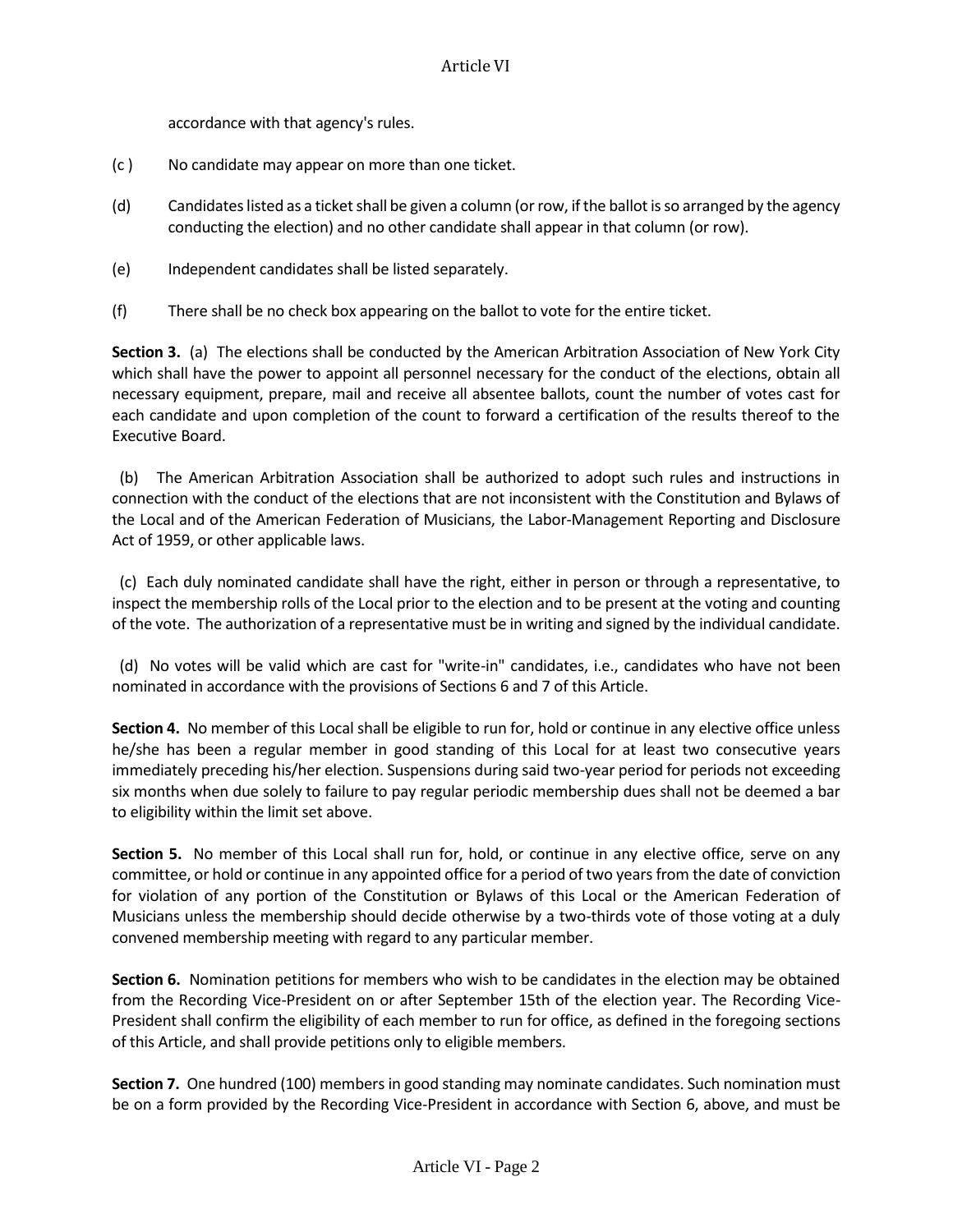accordance with that agency's rules.

- (c ) No candidate may appear on more than one ticket.
- (d) Candidates listed as a ticket shall be given a column (or row, if the ballot is so arranged by the agency conducting the election) and no other candidate shall appear in that column (or row).
- (e) Independent candidates shall be listed separately.
- (f) There shall be no check box appearing on the ballot to vote for the entire ticket.

**Section 3.** (a) The elections shall be conducted by the American Arbitration Association of New York City which shall have the power to appoint all personnel necessary for the conduct of the elections, obtain all necessary equipment, prepare, mail and receive all absentee ballots, count the number of votes cast for each candidate and upon completion of the count to forward a certification of the results thereof to the Executive Board.

 (b) The American Arbitration Association shall be authorized to adopt such rules and instructions in connection with the conduct of the elections that are not inconsistent with the Constitution and Bylaws of the Local and of the American Federation of Musicians, the Labor-Management Reporting and Disclosure Act of 1959, or other applicable laws.

 (c) Each duly nominated candidate shall have the right, either in person or through a representative, to inspect the membership rolls of the Local prior to the election and to be present at the voting and counting of the vote. The authorization of a representative must be in writing and signed by the individual candidate.

 (d) No votes will be valid which are cast for "write-in" candidates, i.e., candidates who have not been nominated in accordance with the provisions of Sections 6 and 7 of this Article.

**Section 4.** No member of this Local shall be eligible to run for, hold or continue in any elective office unless he/she has been a regular member in good standing of this Local for at least two consecutive years immediately preceding his/her election. Suspensions during said two-year period for periods not exceeding six months when due solely to failure to pay regular periodic membership dues shall not be deemed a bar to eligibility within the limit set above.

**Section 5.** No member of this Local shall run for, hold, or continue in any elective office, serve on any committee, or hold or continue in any appointed office for a period of two years from the date of conviction for violation of any portion of the Constitution or Bylaws of this Local or the American Federation of Musicians unless the membership should decide otherwise by a two-thirds vote of those voting at a duly convened membership meeting with regard to any particular member.

**Section 6.** Nomination petitions for members who wish to be candidates in the election may be obtained from the Recording Vice-President on or after September 15th of the election year. The Recording Vice-President shall confirm the eligibility of each member to run for office, as defined in the foregoing sections of this Article, and shall provide petitions only to eligible members.

**Section 7.** One hundred (100) members in good standing may nominate candidates. Such nomination must be on a form provided by the Recording Vice-President in accordance with Section 6, above, and must be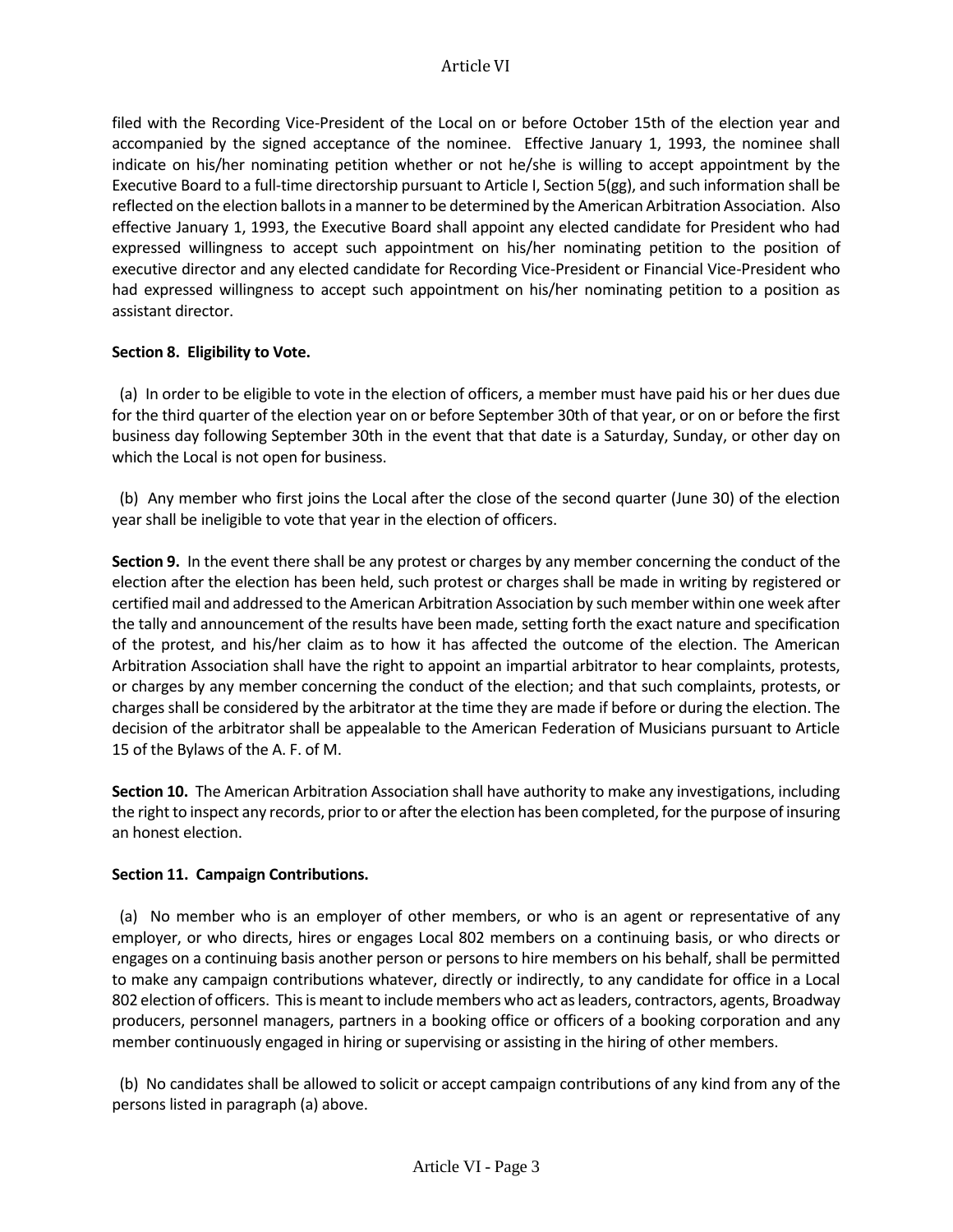filed with the Recording Vice-President of the Local on or before October 15th of the election year and accompanied by the signed acceptance of the nominee. Effective January 1, 1993, the nominee shall indicate on his/her nominating petition whether or not he/she is willing to accept appointment by the Executive Board to a full-time directorship pursuant to Article I, Section 5(gg), and such information shall be reflected on the election ballots in a manner to be determined by the American Arbitration Association. Also effective January 1, 1993, the Executive Board shall appoint any elected candidate for President who had expressed willingness to accept such appointment on his/her nominating petition to the position of executive director and any elected candidate for Recording Vice-President or Financial Vice-President who had expressed willingness to accept such appointment on his/her nominating petition to a position as assistant director.

# **Section 8. Eligibility to Vote.**

 (a) In order to be eligible to vote in the election of officers, a member must have paid his or her dues due for the third quarter of the election year on or before September 30th of that year, or on or before the first business day following September 30th in the event that that date is a Saturday, Sunday, or other day on which the Local is not open for business.

 (b) Any member who first joins the Local after the close of the second quarter (June 30) of the election year shall be ineligible to vote that year in the election of officers.

**Section 9.** In the event there shall be any protest or charges by any member concerning the conduct of the election after the election has been held, such protest or charges shall be made in writing by registered or certified mail and addressed to the American Arbitration Association by such member within one week after the tally and announcement of the results have been made, setting forth the exact nature and specification of the protest, and his/her claim as to how it has affected the outcome of the election. The American Arbitration Association shall have the right to appoint an impartial arbitrator to hear complaints, protests, or charges by any member concerning the conduct of the election; and that such complaints, protests, or charges shall be considered by the arbitrator at the time they are made if before or during the election. The decision of the arbitrator shall be appealable to the American Federation of Musicians pursuant to Article 15 of the Bylaws of the A. F. of M.

**Section 10.** The American Arbitration Association shall have authority to make any investigations, including the right to inspect any records, prior to or after the election has been completed, for the purpose of insuring an honest election.

### **Section 11. Campaign Contributions.**

 (a) No member who is an employer of other members, or who is an agent or representative of any employer, or who directs, hires or engages Local 802 members on a continuing basis, or who directs or engages on a continuing basis another person or persons to hire members on his behalf, shall be permitted to make any campaign contributions whatever, directly or indirectly, to any candidate for office in a Local 802 election of officers. This is meant to include members who act as leaders, contractors, agents, Broadway producers, personnel managers, partners in a booking office or officers of a booking corporation and any member continuously engaged in hiring or supervising or assisting in the hiring of other members.

 (b) No candidates shall be allowed to solicit or accept campaign contributions of any kind from any of the persons listed in paragraph (a) above.